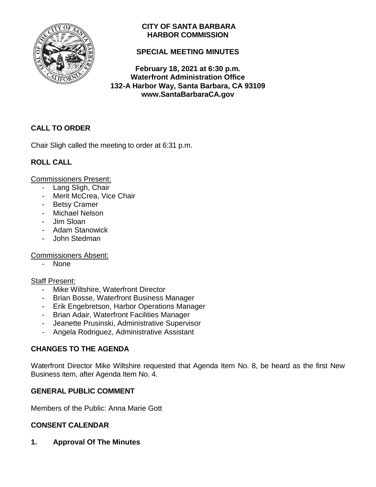

## **CITY OF SANTA BARBARA HARBOR COMMISSION**

## **SPECIAL MEETING MINUTES**

**February 18, 2021 at 6:30 p.m. Waterfront Administration Office 132-A Harbor Way, Santa Barbara, CA 93109 www.SantaBarbaraCA.gov**

# **CALL TO ORDER**

Chair Sligh called the meeting to order at 6:31 p.m.

# **ROLL CALL**

Commissioners Present:

- Lang Sligh, Chair
- Merit McCrea, Vice Chair
- Betsy Cramer
- Michael Nelson
- Jim Sloan
- Adam Stanowick
- John Stedman

Commissioners Absent:

None

## Staff Present:

- Mike Wiltshire, Waterfront Director
- Brian Bosse, Waterfront Business Manager
- Erik Engebretson, Harbor Operations Manager
- Brian Adair, Waterfront Facilities Manager
- Jeanette Prusinski, Administrative Supervisor
- Angela Rodriguez, Administrative Assistant

## **CHANGES TO THE AGENDA**

Waterfront Director Mike Wiltshire requested that Agenda Item No. 8, be heard as the first New Business item, after Agenda Item No. 4.

## **GENERAL PUBLIC COMMENT**

Members of the Public: Anna Marie Gott

## **CONSENT CALENDAR**

**1. Approval Of The Minutes**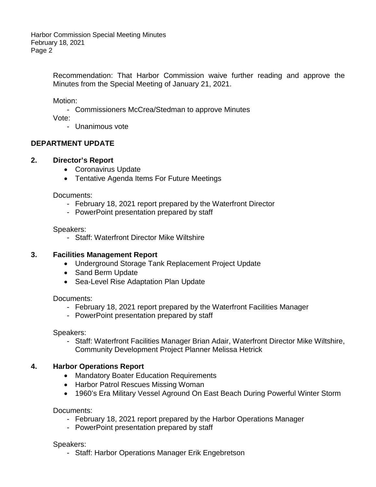> Recommendation: That Harbor Commission waive further reading and approve the Minutes from the Special Meeting of January 21, 2021.

Motion:

- Commissioners McCrea/Stedman to approve Minutes

Vote:

- Unanimous vote

# **DEPARTMENT UPDATE**

## **2. Director's Report**

- Coronavirus Update
- Tentative Agenda Items For Future Meetings

Documents:

- February 18, 2021 report prepared by the Waterfront Director
- PowerPoint presentation prepared by staff

Speakers:

- Staff: Waterfront Director Mike Wiltshire

#### **3. Facilities Management Report**

- Underground Storage Tank Replacement Project Update
- Sand Berm Update
- Sea-Level Rise Adaptation Plan Update

Documents:

- February 18, 2021 report prepared by the Waterfront Facilities Manager
- PowerPoint presentation prepared by staff

Speakers:

- Staff: Waterfront Facilities Manager Brian Adair, Waterfront Director Mike Wiltshire, Community Development Project Planner Melissa Hetrick

## **4. Harbor Operations Report**

- Mandatory Boater Education Requirements
- Harbor Patrol Rescues Missing Woman
- 1960's Era Military Vessel Aground On East Beach During Powerful Winter Storm

Documents:

- February 18, 2021 report prepared by the Harbor Operations Manager
- PowerPoint presentation prepared by staff

Speakers:

- Staff: Harbor Operations Manager Erik Engebretson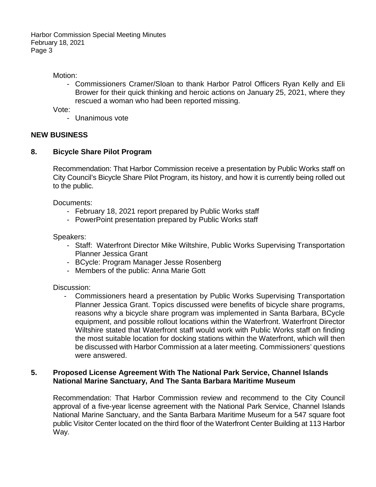Motion:

- Commissioners Cramer/Sloan to thank Harbor Patrol Officers Ryan Kelly and Eli Brower for their quick thinking and heroic actions on January 25, 2021, where they rescued a woman who had been reported missing.

Vote:

- Unanimous vote

#### **NEW BUSINESS**

#### **8. Bicycle Share Pilot Program**

Recommendation: That Harbor Commission receive a presentation by Public Works staff on City Council's Bicycle Share Pilot Program, its history, and how it is currently being rolled out to the public.

Documents:

- February 18, 2021 report prepared by Public Works staff
- PowerPoint presentation prepared by Public Works staff

Speakers:

- Staff: Waterfront Director Mike Wiltshire, Public Works Supervising Transportation Planner Jessica Grant
- BCycle: Program Manager Jesse Rosenberg
- Members of the public: Anna Marie Gott

Discussion:

- Commissioners heard a presentation by Public Works Supervising Transportation Planner Jessica Grant. Topics discussed were benefits of bicycle share programs, reasons why a bicycle share program was implemented in Santa Barbara, BCycle equipment, and possible rollout locations within the Waterfront. Waterfront Director Wiltshire stated that Waterfront staff would work with Public Works staff on finding the most suitable location for docking stations within the Waterfront, which will then be discussed with Harbor Commission at a later meeting. Commissioners' questions were answered.

#### **5. Proposed License Agreement With The National Park Service, Channel Islands National Marine Sanctuary, And The Santa Barbara Maritime Museum**

Recommendation: That Harbor Commission review and recommend to the City Council approval of a five-year license agreement with the National Park Service, Channel Islands National Marine Sanctuary, and the Santa Barbara Maritime Museum for a 547 square foot public Visitor Center located on the third floor of the Waterfront Center Building at 113 Harbor Way.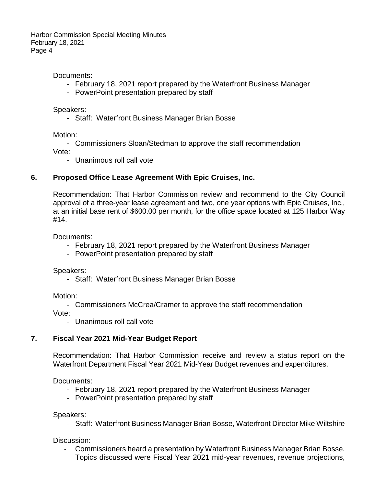#### Documents:

- February 18, 2021 report prepared by the Waterfront Business Manager
- PowerPoint presentation prepared by staff

Speakers:

- Staff: Waterfront Business Manager Brian Bosse

Motion:

- Commissioners Sloan/Stedman to approve the staff recommendation

Vote:

- Unanimous roll call vote

#### **6. Proposed Office Lease Agreement With Epic Cruises, Inc.**

Recommendation: That Harbor Commission review and recommend to the City Council approval of a three-year lease agreement and two, one year options with Epic Cruises, Inc., at an initial base rent of \$600.00 per month, for the office space located at 125 Harbor Way #14.

Documents:

- February 18, 2021 report prepared by the Waterfront Business Manager
- PowerPoint presentation prepared by staff

Speakers:

- Staff: Waterfront Business Manager Brian Bosse

Motion:

- Commissioners McCrea/Cramer to approve the staff recommendation

Vote:

- Unanimous roll call vote

#### **7. Fiscal Year 2021 Mid-Year Budget Report**

Recommendation: That Harbor Commission receive and review a status report on the Waterfront Department Fiscal Year 2021 Mid-Year Budget revenues and expenditures.

Documents:

- February 18, 2021 report prepared by the Waterfront Business Manager
- PowerPoint presentation prepared by staff

Speakers:

- Staff: Waterfront Business Manager Brian Bosse, Waterfront Director Mike Wiltshire

#### Discussion:

- Commissioners heard a presentation by Waterfront Business Manager Brian Bosse. Topics discussed were Fiscal Year 2021 mid-year revenues, revenue projections,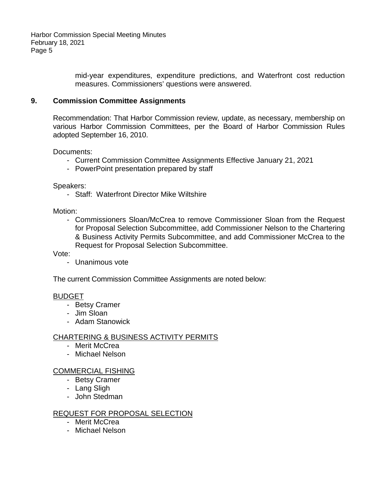> mid-year expenditures, expenditure predictions, and Waterfront cost reduction measures. Commissioners' questions were answered.

#### **9. Commission Committee Assignments**

Recommendation: That Harbor Commission review, update, as necessary, membership on various Harbor Commission Committees, per the Board of Harbor Commission Rules adopted September 16, 2010.

Documents:

- Current Commission Committee Assignments Effective January 21, 2021
- PowerPoint presentation prepared by staff

Speakers:

- Staff: Waterfront Director Mike Wiltshire

Motion:

- Commissioners Sloan/McCrea to remove Commissioner Sloan from the Request for Proposal Selection Subcommittee, add Commissioner Nelson to the Chartering & Business Activity Permits Subcommittee, and add Commissioner McCrea to the Request for Proposal Selection Subcommittee.

Vote:

- Unanimous vote

The current Commission Committee Assignments are noted below:

#### BUDGET

- Betsy Cramer
- Jim Sloan
- Adam Stanowick

#### CHARTERING & BUSINESS ACTIVITY PERMITS

- Merit McCrea
- Michael Nelson

#### COMMERCIAL FISHING

- Betsy Cramer
- Lang Sligh
- John Stedman

## REQUEST FOR PROPOSAL SELECTION

- Merit McCrea
- Michael Nelson